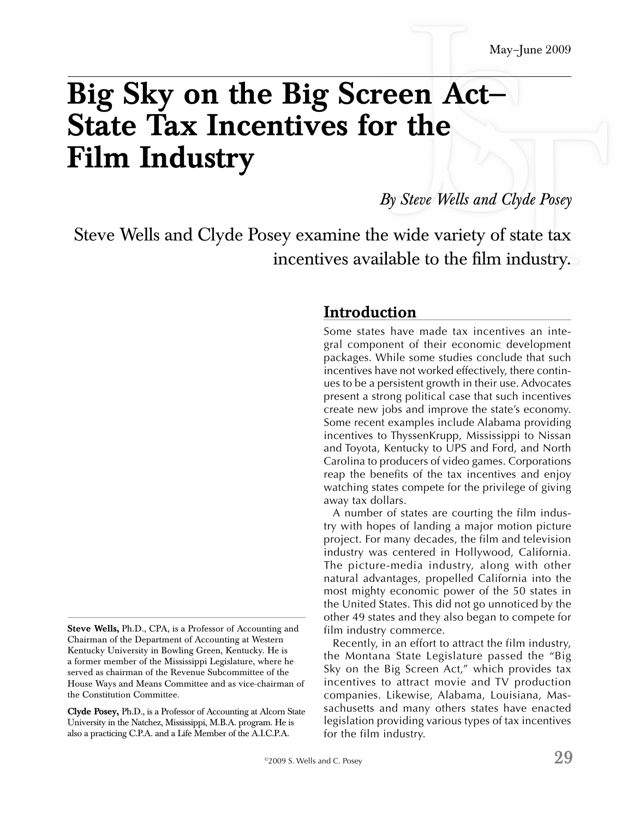# **Big Sky on the Big Screen Act— State Tax Incentives for the Film Industry**

*By Steve Wells and Clyde Posey* 

Steve Wells and Clyde Posey examine the wide variety of state tax incentives available to the film industry.

#### **Introduction**

Some states have made tax incentives an integral component of their economic development packages. While some studies conclude that such incentives have not worked effectively, there continues to be a persistent growth in their use. Advocates present a strong political case that such incentives create new jobs and improve the state's economy. Some recent examples include Alabama providing incentives to ThyssenKrupp, Mississippi to Nissan and Toyota, Kentucky to UPS and Ford, and North Carolina to producers of video games. Corporations reap the benefits of the tax incentives and enjoy watching states compete for the privilege of giving away tax dollars.

A number of states are courting the film industry with hopes of landing a major motion picture project. For many decades, the film and television industry was centered in Hollywood, California. The picture-media industry, along with other natural advantages, propelled California into the most mighty economic power of the 50 states in the United States. This did not go unnoticed by the other 49 states and they also began to compete for film industry commerce.

Recently, in an effort to attract the film industry, the Montana State Legislature passed the "Big Sky on the Big Screen Act," which provides tax incentives to attract movie and TV production companies. Likewise, Alabama, Louisiana, Massachusetts and many others states have enacted legislation providing various types of tax incentives for the film industry.

Chairman of the Department of Accounting at Western Kentucky University in Bowling Green, Kentucky. He is a former member of the Mississippi Legislature, where he served as chairman of the Revenue Subcommittee of the House Ways and Means Committee and as vice-chairman of the Constitution Committee.

**Steve Wells,** Ph.D., CPA, is a Professor of Accounting and

**Clyde Posey,** Ph.D., is a Professor of Accounting at Alcorn State University in the Natchez, Mississippi, M.B.A. program. He is also a practicing C.P.A. and a Life Member of the A.I.C.P.A.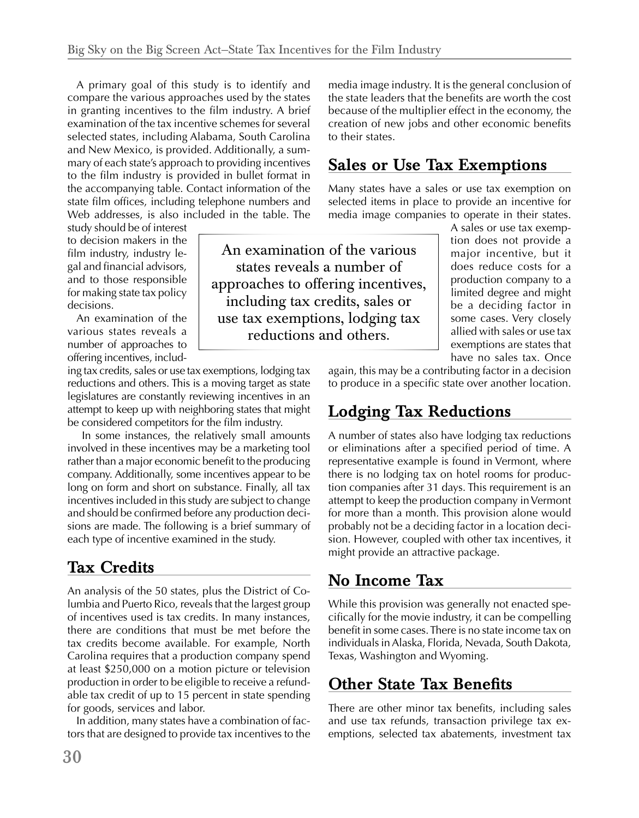to the film industry is provided in bullet format in A primary goal of this study is to identify and compare the various approaches used by the states in granting incentives to the film industry. A brief examination of the tax incentive schemes for several selected states, including Alabama, South Carolina and New Mexico, is provided. Additionally, a summary of each state's approach to providing incentives the accompanying table. Contact information of the state film offices, including telephone numbers and Web addresses, is also included in the table. The

study should be of interest to decision makers in the film industry, industry legal and financial advisors, and to those responsible for making state tax policy decisions.

An examination of the various states reveals a number of approaches to offering incentives, includ-

ing tax credits, sales or use tax exemptions, lodging tax reductions and others. This is a moving target as state legislatures are constantly reviewing incentives in an attempt to keep up with neighboring states that might be considered competitors for the film industry.

In some instances, the relatively small amounts involved in these incentives may be a marketing tool rather than a major economic benefit to the producing company. Additionally, some incentives appear to be long on form and short on substance. Finally, all tax incentives included in this study are subject to change and should be confirmed before any production decisions are made. The following is a brief summary of each type of incentive examined in the study.

# **Tax Credits**

An analysis of the 50 states, plus the District of Columbia and Puerto Rico, reveals that the largest group of incentives used is tax credits. In many instances, there are conditions that must be met before the tax credits become available. For example, North Carolina requires that a production company spend at least \$250,000 on a motion picture or television production in order to be eligible to receive a refundable tax credit of up to 15 percent in state spending for goods, services and labor.

In addition, many states have a combination of factors that are designed to provide tax incentives to the media image industry. It is the general conclusion of the state leaders that the benefits are worth the cost because of the multiplier effect in the economy, the creation of new jobs and other economic benefits to their states.

#### **Sales or Use Tax Exemptions**

Many states have a sales or use tax exemption on selected items in place to provide an incentive for media image companies to operate in their states.

An examination of the various states reveals a number of approaches to offering incentives, including tax credits, sales or use tax exemptions, lodging tax reductions and others.

A sales or use tax exemption does not provide a major incentive, but it does reduce costs for a production company to a limited degree and might be a deciding factor in some cases. Very closely allied with sales or use tax exemptions are states that have no sales tax. Once

again, this may be a contributing factor in a decision to produce in a specific state over another location.

## **Lodging Tax Reductions**

A number of states also have lodging tax reductions or eliminations after a specified period of time. A representative example is found in Vermont, where there is no lodging tax on hotel rooms for production companies after 31 days. This requirement is an attempt to keep the production company in Vermont for more than a month. This provision alone would probably not be a deciding factor in a location decision. However, coupled with other tax incentives, it might provide an attractive package.

## **No Income Tax**

While this provision was generally not enacted specifically for the movie industry, it can be compelling benefit in some cases. There is no state income tax on individuals in Alaska, Florida, Nevada, South Dakota, Texas, Washington and Wyoming.

#### **Other State Tax Benefits**

There are other minor tax benefits, including sales and use tax refunds, transaction privilege tax exemptions, selected tax abatements, investment tax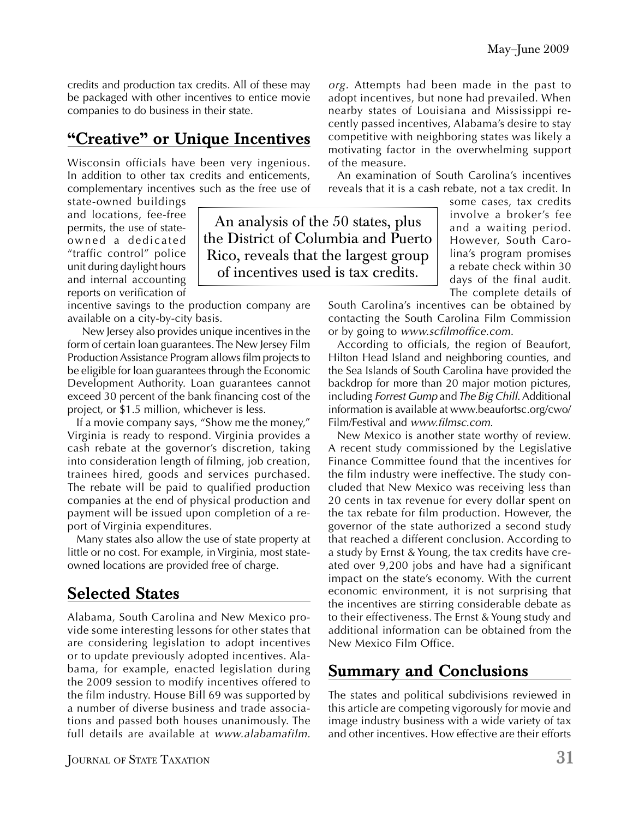credits and production tax credits. All of these may be packaged with other incentives to entice movie companies to do business in their state.

### **"Creative" or Unique Incentives**

Wisconsin officials have been very ingenious. In addition to other tax credits and enticements, complementary incentives such as the free use of

> An analysis of the 50 states, plus the District of Columbia and Puerto Rico, reveals that the largest group of incentives used is tax credits.

state-owned buildings and locations, fee-free permits, the use of stateowned a dedicated "traffic control" police unit during daylight hours and internal accounting reports on verification of

incentive savings to the production company are available on a city-by-city basis.

New Jersey also provides unique incentives in the form of certain loan guarantees. The New Jersey Film Production Assistance Program allows film projects to be eligible for loan guarantees through the Economic Development Authority. Loan guarantees cannot exceed 30 percent of the bank financing cost of the project, or \$1.5 million, whichever is less.

If a movie company says, "Show me the money," Virginia is ready to respond. Virginia provides a cash rebate at the governor's discretion, taking into consideration length of filming, job creation, trainees hired, goods and services purchased. The rebate will be paid to qualified production companies at the end of physical production and payment will be issued upon completion of a report of Virginia expenditures.

Many states also allow the use of state property at little or no cost. For example, in Virginia, most stateowned locations are provided free of charge.

# **Selected States**

Alabama, South Carolina and New Mexico provide some interesting lessons for other states that are considering legislation to adopt incentives or to update previously adopted incentives. Alabama, for example, enacted legislation during the 2009 session to modify incentives offered to the film industry. House Bill 69 was supported by a number of diverse business and trade associations and passed both houses unanimously. The full details are available at *www.alabamafilm.* 

JOURNAL OF STATE TAXATION **31** 

*org.* Attempts had been made in the past to adopt incentives, but none had prevailed. When nearby states of Louisiana and Mississippi recently passed incentives, Alabama's desire to stay competitive with neighboring states was likely a motivating factor in the overwhelming support of the measure.

An examination of South Carolina's incentives reveals that it is a cash rebate, not a tax credit. In

> some cases, tax credits involve a broker's fee and a waiting period. However, South Carolina's program promises a rebate check within 30 days of the final audit. The complete details of

South Carolina's incentives can be obtained by contacting the South Carolina Film Commission or by going to *www.scfilmoffice.com.* 

According to officials, the region of Beaufort, Hilton Head Island and neighboring counties, and the Sea Islands of South Carolina have provided the backdrop for more than 20 major motion pictures, including *Forrest Gump* and*The Big Chill*. Additional information is available at www.beaufortsc.org/cwo/ Film/Festival and *www.filmsc.com.* 

New Mexico is another state worthy of review. A recent study commissioned by the Legislative Finance Committee found that the incentives for the film industry were ineffective. The study concluded that New Mexico was receiving less than 20 cents in tax revenue for every dollar spent on the tax rebate for film production. However, the governor of the state authorized a second study that reached a different conclusion. According to a study by Ernst & Young, the tax credits have created over 9,200 jobs and have had a significant impact on the state's economy. With the current economic environment, it is not surprising that the incentives are stirring considerable debate as to their effectiveness. The Ernst & Young study and additional information can be obtained from the New Mexico Film Office.

#### **Summary and Conclusions**

The states and political subdivisions reviewed in this article are competing vigorously for movie and image industry business with a wide variety of tax and other incentives. How effective are their efforts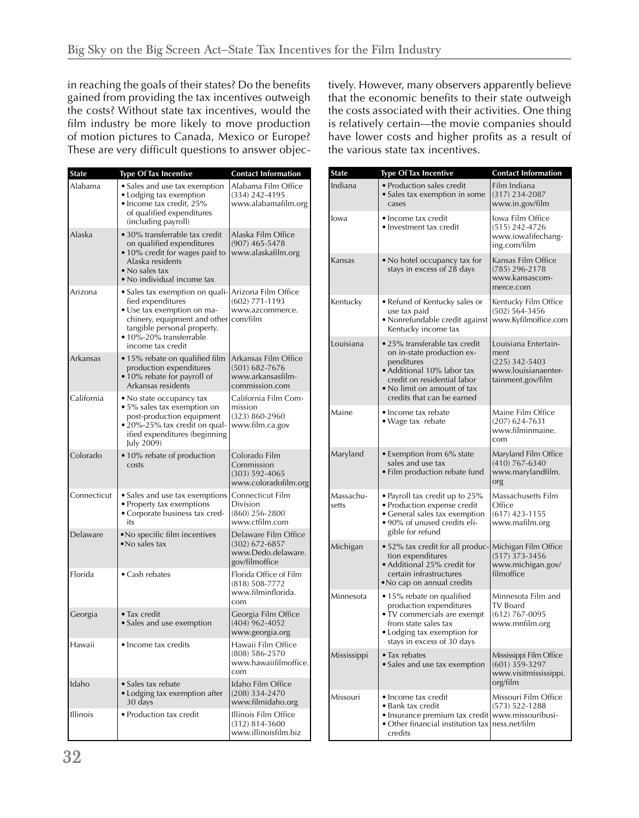in reaching the goals of their states? Do the benefits gained from providing the tax incentives outweigh the costs? Without state tax incentives, would the film industry be more likely to move production of motion pictures to Canada, Mexico or Europe? These are very difficult questions to answer objectively. However, many observers apparently believe that the economic benefits to their state outweigh the costs associated with their activities. One thing is relatively certain—the movie companies should have lower costs and higher profits as a result of the various state tax incentives.

| <b>State</b>    | <b>Type Of Tax Incentive</b>                                                                                                                                                                                          | <b>Contact Information</b>                                                |                      | <b>State</b>       | <b>Type Of Tax Incentive</b>                                                                                                                                          | <b>Contact Information</b>                                                                   |
|-----------------|-----------------------------------------------------------------------------------------------------------------------------------------------------------------------------------------------------------------------|---------------------------------------------------------------------------|----------------------|--------------------|-----------------------------------------------------------------------------------------------------------------------------------------------------------------------|----------------------------------------------------------------------------------------------|
| Alabama         | • Sales and use tax exemption<br>• Lodging tax exemption<br>• Income tax credit, 25%                                                                                                                                  | Alabama Film Office<br>(334) 242-4195<br>www.alabamafilm.org              |                      | Indiana            | · Production sales credit<br>• Sales tax exemption in some<br>cases                                                                                                   | Film Indiana<br>$(317)$ 234-2087<br>www.in.gov/film                                          |
| Alaska          | of qualified expenditures<br>(including payroll)<br>• 30% transferrable tax credit<br>on qualified expenditures<br>• 10% credit for wages paid to<br>Alaska residents<br>• No sales tax<br>• No individual income tax | Alaska Film Office<br>$(907)$ 465-5478<br>www.alaskafilm.org              |                      | lowa               | • Income tax credit<br>• Investment tax credit                                                                                                                        | lowa Film Office<br>(515) 242-4726<br>www.iowalifechang-<br>ing.com/film                     |
|                 |                                                                                                                                                                                                                       |                                                                           |                      | Kansas             | • No hotel occupancy tax for<br>stays in excess of 28 days                                                                                                            | Kansas Film Office<br>$(785)$ 296-2178<br>www.kansascom-                                     |
| Arizona         | · Sales tax exemption on quali- Arizona Film Office<br>fied expenditures<br>· Use tax exemption on ma-<br>chinery, equipment and other com/film<br>tangible personal property.<br>· 10%-20% transferrable             | $(602)$ 771-1193<br>www.azcommerce.                                       |                      | Kentucky           | • Refund of Kentucky sales or<br>use tax paid<br>• Nonrefundable credit against   www.Kyfilmoffice.com<br>Kentucky income tax                                         | merce.com<br>Kentucky Film Office<br>$(502) 564 - 3456$                                      |
| Arkansas        | income tax credit<br>· 15% rebate on qualified film   Arkansas Film Office<br>production expenditures<br>• 10% rebate for payroll of<br>Arkansas residents                                                            | $(501)$ 682-7676<br>www.arkansasfilm-<br>commission.com                   |                      | Louisiana          | • 25% transferable tax credit<br>on in-state production ex-<br>penditures<br>• Additional 10% labor tax<br>credit on residential labor<br>• No limit on amount of tax | Louisiana Entertain-<br>ment<br>$(225)$ 342-5403<br>www.louisianaenter-<br>tainment.gov/film |
| California      | • No state occupancy tax<br>• 5% sales tax exemption on<br>post-production equipment<br>• 20%-25% tax credit on qual-<br>ified expenditures (beginning<br>July 2009)                                                  | California Film Com-<br>mission<br>$(323) 860 - 2960$<br>www.film.ca.gov  |                      | Maine              | credits that can be earned<br>• Income tax rebate<br>• Wage tax rebate                                                                                                | Maine Film Office<br>$(207)$ 624-7631<br>www.filminmaine.<br>com                             |
| Colorado        | · 10% rebate of production<br>costs                                                                                                                                                                                   | Colorado Film<br>Commission<br>$(303) 592 - 4065$<br>www.coloradofilm.org |                      | Maryland           | • Exemption from 6% state<br>sales and use tax<br>• Film production rebate fund                                                                                       | Maryland Film Office<br>$(410)$ 767-6340<br>www.marylandfilm.<br>org                         |
| Connecticut     | • Sales and use tax exemptions Connecticut Film<br>• Property tax exemptions<br>• Corporate business tax cred-<br>its                                                                                                 | Division<br>$(860)$ 256-2800<br>www.ctfilm.com                            | Delaware Film Office | Massachu-<br>setts | • Payroll tax credit up to 25%<br>• Production expense credit<br>• General sales tax exemption<br>• 90% of unused credits eli-<br>gible for refund                    | Massachusetts Film<br>Office<br>$(617)$ 423-1155<br>www.mafilm.org                           |
| Delaware        | . No specific film incentives<br>• No sales tax                                                                                                                                                                       | $(302)$ 672-6857<br>www.Dedo.delaware.<br>gov/filmoffice                  |                      | Michigan           | • 52% tax credit for all produc- Michigan Film Office<br>tion expenditures<br>• Additional 25% credit for                                                             | $(517)$ 373-3456<br>www.michigan.gov/                                                        |
| Florida         | • Cash rebates                                                                                                                                                                                                        | Florida Office of Film<br>$(818) 508 - 7772$<br>www.filminflorida.        |                      | Minnesota          | certain infrastructures<br>• No cap on annual credits<br>• 15% rebate on qualified                                                                                    | filmoffice<br>Minnesota Film and                                                             |
| Georgia         | • Tax credit<br>• Sales and use exemption                                                                                                                                                                             | com<br>Georgia Film Office<br>$(404)$ 962-4052<br>www.georgia.org         |                      |                    | production expenditures<br>• TV commercials are exempt<br>from state sales tax<br>• Lodging tax exemption for<br>stays in excess of 30 days                           | TV Board<br>$(612)$ 767-0095<br>www.mnfilm.org                                               |
| Hawaii          | • Income tax credits                                                                                                                                                                                                  | Hawaii Film Office<br>$(808) 586 - 2570$<br>www.hawaiifilmoffice.<br>com  |                      | Mississippi        | • Tax rebates<br>• Sales and use tax exemption                                                                                                                        | Mississippi Film Office<br>$(601)$ 359-3297<br>www.visitmississippi.                         |
| Idaho           | • Sales tax rebate<br>· Lodging tax exemption after<br>30 days                                                                                                                                                        | Idaho Film Office<br>$(208)$ 334-2470<br>www.filmidaho.org                |                      | Missouri           | • Income tax credit<br>• Bank tax credit<br>• Insurance premium tax credit www.missouribusi-<br>• Other financial institution tax ness.net/film<br>credits            | org/film<br>Missouri Film Office<br>$(573) 522 - 1288$                                       |
| <b>Illinois</b> | • Production tax credit                                                                                                                                                                                               | Illinois Film Office<br>$(312) 814 - 3600$<br>www.illinoisfilm.biz        |                      |                    |                                                                                                                                                                       |                                                                                              |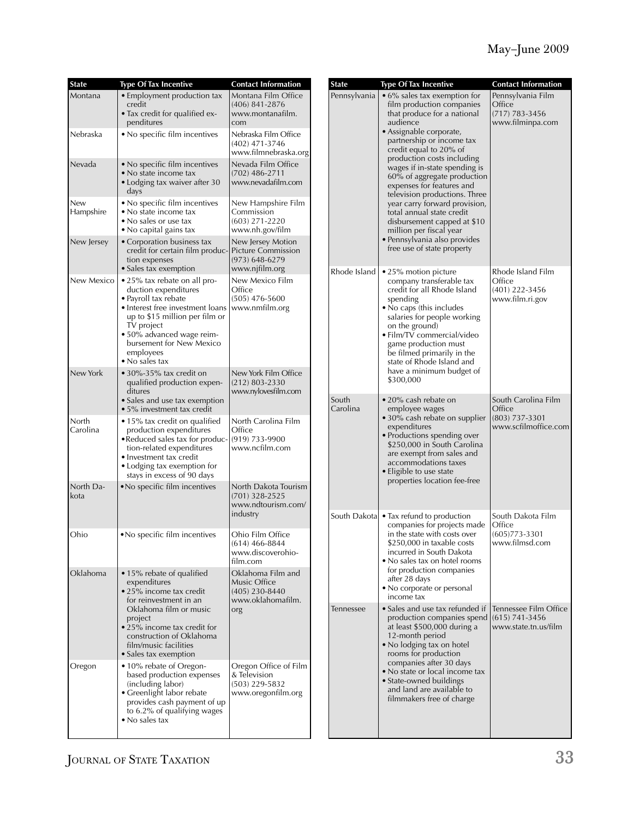| <b>State</b>      | <b>Type Of Tax Incentive</b>                                                                                                                                                                                                                                     | <b>Contact Information</b>                                                        | <b>State</b> | <b>Type Of Tax Incentive</b>                                                                                                                                                                                                                                                                                                                                                                                                                                                                                                                                                | <b>Contact Information</b>                                            |
|-------------------|------------------------------------------------------------------------------------------------------------------------------------------------------------------------------------------------------------------------------------------------------------------|-----------------------------------------------------------------------------------|--------------|-----------------------------------------------------------------------------------------------------------------------------------------------------------------------------------------------------------------------------------------------------------------------------------------------------------------------------------------------------------------------------------------------------------------------------------------------------------------------------------------------------------------------------------------------------------------------------|-----------------------------------------------------------------------|
| Montana           | • Employment production tax<br>credit<br>• Tax credit for qualified ex-<br>penditures                                                                                                                                                                            | Montana Film Office<br>$(406)$ 841-2876<br>www.montanafilm.<br>com                | Pennsylvania | • 6% sales tax exemption for<br>film production companies<br>that produce for a national<br>audience<br>· Assignable corporate,<br>partnership or income tax<br>credit equal to 20% of<br>production costs including<br>wages if in-state spending is<br>60% of aggregate production<br>expenses for features and<br>television productions. Three<br>year carry forward provision,<br>total annual state credit<br>disbursement capped at \$10<br>million per fiscal year<br>· Pennsylvania also provides<br>free use of state property                                    | Pennsylvania Film<br>Office<br>$(717) 783 - 3456$<br>www.filminpa.com |
| Nebraska          | . No specific film incentives                                                                                                                                                                                                                                    | Nebraska Film Office<br>(402) 471-3746<br>www.filmnebraska.org                    |              |                                                                                                                                                                                                                                                                                                                                                                                                                                                                                                                                                                             |                                                                       |
| Nevada            | • No specific film incentives<br>• No state income tax<br>• Lodging tax waiver after 30<br>days                                                                                                                                                                  | Nevada Film Office<br>$(702)$ 486-2711<br>www.nevadafilm.com                      |              |                                                                                                                                                                                                                                                                                                                                                                                                                                                                                                                                                                             |                                                                       |
| New<br>Hampshire  | • No specific film incentives<br>· No state income tax<br>• No sales or use tax<br>• No capital gains tax                                                                                                                                                        | New Hampshire Film<br>Commission<br>$(603)$ 271-2220<br>www.nh.gov/film           |              |                                                                                                                                                                                                                                                                                                                                                                                                                                                                                                                                                                             |                                                                       |
| New Jersey        | • Corporation business tax<br>credit for certain film produc-<br>tion expenses<br>• Sales tax exemption                                                                                                                                                          | New Jersey Motion<br>Picture Commission<br>$(973) 648 - 6279$<br>www.njfilm.org   |              |                                                                                                                                                                                                                                                                                                                                                                                                                                                                                                                                                                             |                                                                       |
| New Mexico        | • 25% tax rebate on all pro-<br>duction expenditures<br>· Payroll tax rebate<br>· Interest free investment loans<br>up to \$15 million per film or<br>TV project<br>· 50% advanced wage reim-<br>bursement for New Mexico<br>employees<br>$\bullet$ No sales tax | New Mexico Film<br>Office<br>$(505)$ 476-5600<br>www.nmfilm.org                   | Rhode Island | • 25% motion picture<br>company transferable tax<br>credit for all Rhode Island<br>spending<br>• No caps (this includes<br>salaries for people working<br>on the ground)<br>· Film/TV commercial/video<br>game production must<br>be filmed primarily in the<br>state of Rhode Island and<br>have a minimum budget of<br>\$300,000<br>• 20% cash rebate on<br>employee wages<br>· 30% cash rebate on supplier<br>expenditures<br>· Productions spending over<br>\$250,000 in South Carolina<br>are exempt from sales and<br>accommodations taxes<br>• Eligible to use state | Rhode Island Film<br>Office<br>$(401)$ 222-3456<br>www.film.ri.gov    |
| New York          | $\bullet$ 30%-35% tax credit on<br>qualified production expen-<br>ditures<br>• Sales and use tax exemption                                                                                                                                                       | New York Film Office<br>$(212) 803 - 2330$<br>www.nylovesfilm.com                 | South        |                                                                                                                                                                                                                                                                                                                                                                                                                                                                                                                                                                             | South Carolina Film                                                   |
| North<br>Carolina | $\bullet$ 5% investment tax credit<br>• 15% tax credit on qualified<br>production expenditures<br>• Reduced sales tax for produc-<br>tion-related expenditures<br>• Investment tax credit<br>• Lodging tax exemption for<br>stays in excess of 90 days           | North Carolina Film<br>Office<br>(919) 733-9900<br>www.ncfilm.com                 | Carolina     |                                                                                                                                                                                                                                                                                                                                                                                                                                                                                                                                                                             | Office<br>$(803)$ 737-3301<br>www.scfilmoffice.com                    |
| North Da-<br>kota | . No specific film incentives                                                                                                                                                                                                                                    | North Dakota Tourism<br>$(701)$ 328-2525<br>www.ndtourism.com/<br>industry        |              | properties location fee-free<br>South Dakota • Tax refund to production                                                                                                                                                                                                                                                                                                                                                                                                                                                                                                     | South Dakota Film                                                     |
| Ohio              | • No specific film incentives                                                                                                                                                                                                                                    | Ohio Film Office<br>(614) 466-8844<br>www.discoverohio-<br>film.com               |              | companies for projects made<br>in the state with costs over<br>\$250,000 in taxable costs<br>incurred in South Dakota<br>• No sales tax on hotel rooms<br>for production companies<br>after 28 days<br>• No corporate or personal<br>income tax                                                                                                                                                                                                                                                                                                                             | Office<br>$(605)773 - 3301$<br>www.filmsd.com                         |
| Oklahoma          | · 15% rebate of qualified<br>expenditures<br>• 25% income tax credit<br>for reinvestment in an                                                                                                                                                                   | Oklahoma Film and<br>Music Office<br>$(405)$ 230-8440<br>www.oklahomafilm.<br>org |              |                                                                                                                                                                                                                                                                                                                                                                                                                                                                                                                                                                             |                                                                       |
|                   | Oklahoma film or music<br>project<br>• 25% income tax credit for<br>construction of Oklahoma<br>film/music facilities<br>• Sales tax exemption                                                                                                                   |                                                                                   | Tennessee    | • Sales and use tax refunded if<br>production companies spend (615) 741-3456<br>at least \$500,000 during a<br>12-month period<br>• No lodging tax on hotel<br>rooms for production<br>companies after 30 days<br>• No state or local income tax<br>• State-owned buildings<br>and land are available to<br>filmmakers free of charge                                                                                                                                                                                                                                       | Tennessee Film Office<br>www.state.tn.us/film                         |
| Oregon            | • 10% rebate of Oregon-<br>based production expenses<br>(including labor)<br>• Greenlight labor rebate<br>provides cash payment of up<br>to 6.2% of qualifying wages<br>$\bullet$ No sales tax                                                                   | Oregon Office of Film<br>& Television<br>(503) 229-5832<br>www.oregonfilm.org     |              |                                                                                                                                                                                                                                                                                                                                                                                                                                                                                                                                                                             |                                                                       |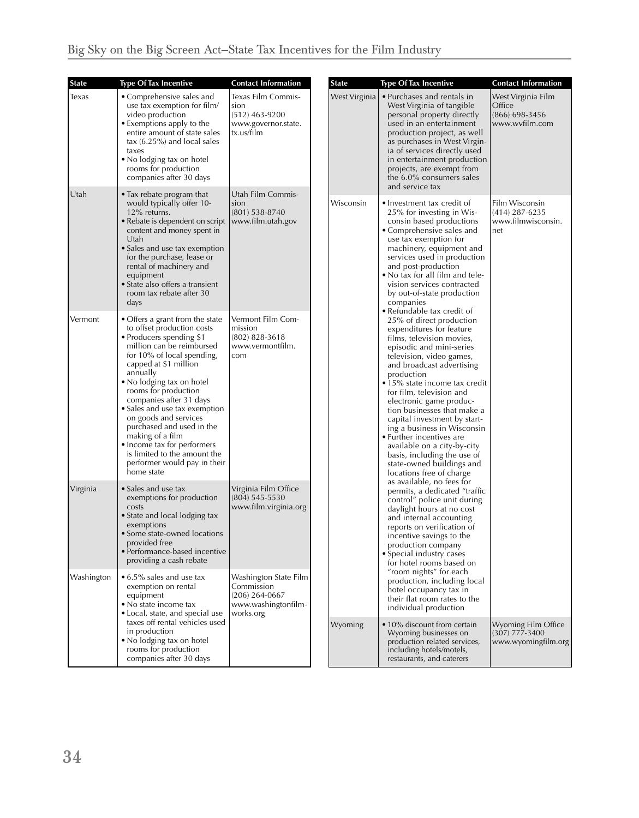| <b>State</b> | <b>Type Of Tax Incentive</b>                                                                                                                                                                                                                                                                                                                                                                                                                                                                      | <b>Contact Information</b>                                                                  |  | <b>State</b>                                                                                                                                                                                                                                                                                                                                                                                                                                                                                                                  | <b>Type Of Tax Incentive</b>                                                                                                                                                                                                                                                                                                                                                                                                          | <b>Contact Information</b>                                         |
|--------------|---------------------------------------------------------------------------------------------------------------------------------------------------------------------------------------------------------------------------------------------------------------------------------------------------------------------------------------------------------------------------------------------------------------------------------------------------------------------------------------------------|---------------------------------------------------------------------------------------------|--|-------------------------------------------------------------------------------------------------------------------------------------------------------------------------------------------------------------------------------------------------------------------------------------------------------------------------------------------------------------------------------------------------------------------------------------------------------------------------------------------------------------------------------|---------------------------------------------------------------------------------------------------------------------------------------------------------------------------------------------------------------------------------------------------------------------------------------------------------------------------------------------------------------------------------------------------------------------------------------|--------------------------------------------------------------------|
| Texas        | • Comprehensive sales and<br>use tax exemption for film/<br>video production<br>• Exemptions apply to the<br>entire amount of state sales<br>$\text{tax}$ (6.25%) and local sales<br>taxes<br>• No lodging tax on hotel<br>rooms for production<br>companies after 30 days                                                                                                                                                                                                                        | Texas Film Commis-<br>sion<br>$(512)$ 463-9200<br>www.governor.state.<br>tx.us/film         |  | West Virginia                                                                                                                                                                                                                                                                                                                                                                                                                                                                                                                 | • Purchases and rentals in<br>West Virginia of tangible<br>personal property directly<br>used in an entertainment<br>production project, as well<br>as purchases in West Virgin-<br>ia of services directly used<br>in entertainment production<br>projects, are exempt from<br>the 6.0% consumers sales<br>and service tax                                                                                                           | West Virginia Film<br>Office<br>$(866)$ 698-3456<br>www.wvfilm.com |
| ∣Utah        | • Tax rebate program that<br>would typically offer 10-<br>12% returns.<br>• Rebate is dependent on script<br>content and money spent in<br>Utah<br>• Sales and use tax exemption<br>for the purchase, lease or<br>rental of machinery and<br>equipment<br>• State also offers a transient<br>room tax rebate after 30<br>days                                                                                                                                                                     | Utah Film Commis-<br>sion<br>$(801)$ 538-8740<br>www.film.utah.gov                          |  | Wisconsin                                                                                                                                                                                                                                                                                                                                                                                                                                                                                                                     | • Investment tax credit of<br>25% for investing in Wis-<br>consin based productions<br>• Comprehensive sales and<br>use tax exemption for<br>machinery, equipment and<br>services used in production<br>and post-production<br>• No tax for all film and tele-<br>vision services contracted<br>by out-of-state production<br>companies<br>• Refundable tax credit of                                                                 | Film Wisconsin<br>$(414)$ 287-6235<br>www.filmwisconsin.<br>net    |
| Vermont      | • Offers a grant from the state<br>to offset production costs<br>• Producers spending \$1<br>million can be reimbursed<br>for 10% of local spending,<br>capped at \$1 million<br>annually<br>• No lodging tax on hotel<br>rooms for production<br>companies after 31 days<br>• Sales and use tax exemption<br>on goods and services<br>purchased and used in the<br>making of a film<br>• Income tax for performers<br>is limited to the amount the<br>performer would pay in their<br>home state | Vermont Film Com-<br>mission<br>$(802)$ 828-3618<br>www.vermontfilm.<br>com                 |  | 25% of direct production<br>expenditures for feature<br>films, television movies,<br>episodic and mini-series<br>television, video games,<br>and broadcast advertising<br>production<br>• 15% state income tax credit<br>for film, television and<br>electronic game produc-<br>tion businesses that make a<br>capital investment by start-<br>ing a business in Wisconsin<br>• Further incentives are<br>available on a city-by-city<br>basis, including the use of<br>state-owned buildings and<br>locations free of charge |                                                                                                                                                                                                                                                                                                                                                                                                                                       |                                                                    |
| Virginia     | • Sales and use tax<br>exemptions for production<br>costs<br>• State and local lodging tax<br>exemptions<br>• Some state-owned locations<br>provided free<br>• Performance-based incentive<br>providing a cash rebate                                                                                                                                                                                                                                                                             | Virginia Film Office<br>$(804)$ 545-5530<br>www.film.virginia.org                           |  |                                                                                                                                                                                                                                                                                                                                                                                                                                                                                                                               | as available, no fees for<br>permits, a dedicated "traffic<br>control" police unit during<br>daylight hours at no cost<br>and internal accounting<br>reports on verification of<br>incentive savings to the<br>production company<br>• Special industry cases<br>for hotel rooms based on<br>"room nights" for each<br>production, including local<br>hotel occupancy tax in<br>their flat room rates to the<br>individual production |                                                                    |
| Washington   | • 6.5% sales and use tax<br>exemption on rental<br>equipment<br>• No state income tax<br>• Local, state, and special use<br>taxes off rental vehicles used<br>in production<br>. No lodging tax on hotel<br>rooms for production<br>companies after 30 days                                                                                                                                                                                                                                       | Washington State Film<br>Commission<br>$(206)$ 264-0667<br>www.washingtonfilm-<br>works.org |  |                                                                                                                                                                                                                                                                                                                                                                                                                                                                                                                               |                                                                                                                                                                                                                                                                                                                                                                                                                                       |                                                                    |
|              |                                                                                                                                                                                                                                                                                                                                                                                                                                                                                                   |                                                                                             |  | Wyoming                                                                                                                                                                                                                                                                                                                                                                                                                                                                                                                       | • 10% discount from certain<br>Wyoming businesses on<br>production related services,<br>including hotels/motels,<br>restaurants, and caterers                                                                                                                                                                                                                                                                                         | Wyoming Film Office<br>$(307)$ 777-3400<br>www.wyomingfilm.org     |